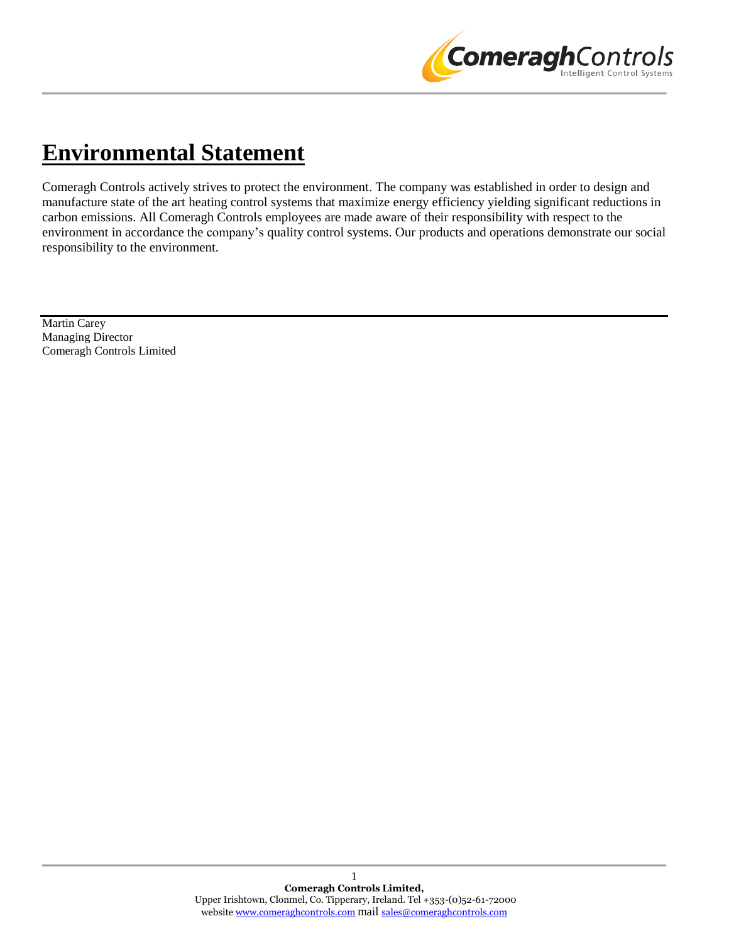

# **Environmental Statement**

Comeragh Controls actively strives to protect the environment. The company was established in order to design and manufacture state of the art heating control systems that maximize energy efficiency yielding significant reductions in carbon emissions. All Comeragh Controls employees are made aware of their responsibility with respect to the environment in accordance the company's quality control systems. Our products and operations demonstrate our social responsibility to the environment.

Martin Carey Managing Director Comeragh Controls Limited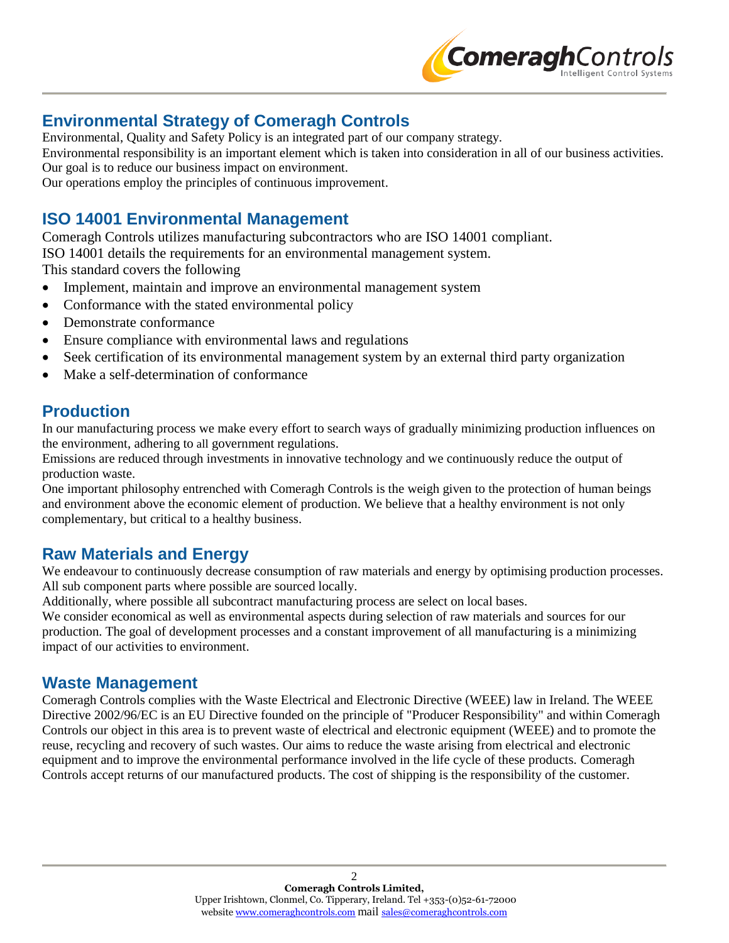

# **Environmental Strategy of Comeragh Controls**

Environmental, Quality and Safety Policy is an integrated part of our company strategy.

Environmental responsibility is an important element which is taken into consideration in all of our business activities.

Our goal is to reduce our business impact on environment.

Our operations employ the principles of continuous improvement.

### **ISO 14001 Environmental Management**

Comeragh Controls utilizes manufacturing subcontractors who are ISO 14001 compliant. ISO 14001 details the requirements for an environmental management system. This standard covers the following

- Implement, maintain and improve an environmental management system
- Conformance with the stated environmental policy
- Demonstrate conformance
- Ensure compliance with environmental laws and regulations
- Seek certification of its environmental management system by an external third party organization
- Make a self-determination of conformance

### **Production**

In our manufacturing process we make every effort to search ways of gradually minimizing production influences on the environment, adhering to all government regulations.

Emissions are reduced through investments in innovative technology and we continuously reduce the output of production waste.

One important philosophy entrenched with Comeragh Controls is the weigh given to the protection of human beings and environment above the economic element of production. We believe that a healthy environment is not only complementary, but critical to a healthy business.

### **Raw Materials and Energy**

We endeavour to continuously decrease consumption of raw materials and energy by optimising production processes. All sub component parts where possible are sourced locally.

Additionally, where possible all subcontract manufacturing process are select on local bases.

We consider economical as well as environmental aspects during selection of raw materials and sources for our production. The goal of development processes and a constant improvement of all manufacturing is a minimizing impact of our activities to environment.

#### **Waste Management**

Comeragh Controls complies with the Waste Electrical and Electronic Directive (WEEE) law in Ireland. The WEEE Directive 2002/96/EC is an EU Directive founded on the principle of "Producer Responsibility" and within Comeragh Controls our object in this area is to prevent waste of electrical and electronic equipment (WEEE) and to promote the reuse, recycling and recovery of such wastes. Our aims to reduce the waste arising from electrical and electronic equipment and to improve the environmental performance involved in the life cycle of these products. Comeragh Controls accept returns of our manufactured products. The cost of shipping is the responsibility of the customer.